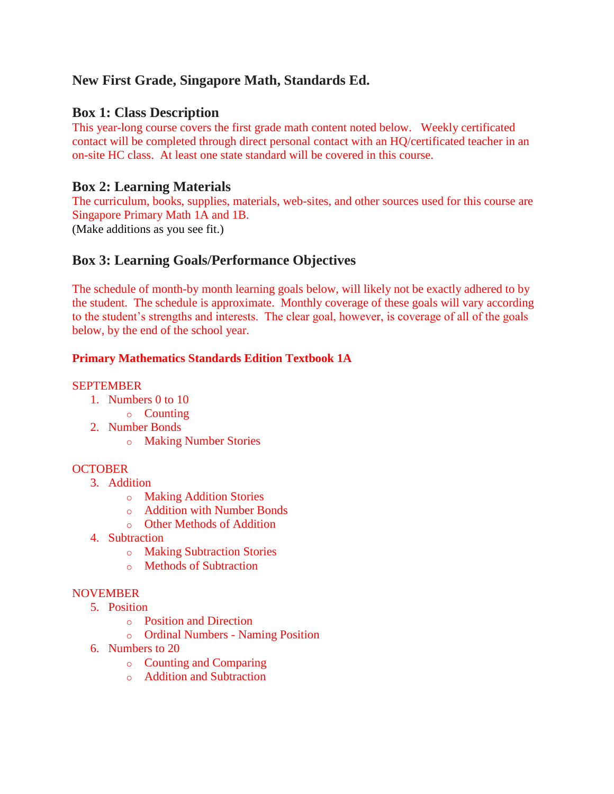# **New First Grade, Singapore Math, Standards Ed.**

# **Box 1: Class Description**

This year-long course covers the first grade math content noted below. Weekly certificated contact will be completed through direct personal contact with an HQ/certificated teacher in an on-site HC class. At least one state standard will be covered in this course.

# **Box 2: Learning Materials**

The curriculum, books, supplies, materials, web-sites, and other sources used for this course are Singapore Primary Math 1A and 1B. (Make additions as you see fit.)

# **Box 3: Learning Goals/Performance Objectives**

The schedule of month-by month learning goals below, will likely not be exactly adhered to by the student. The schedule is approximate. Monthly coverage of these goals will vary according to the student's strengths and interests. The clear goal, however, is coverage of all of the goals below, by the end of the school year.

# **Primary Mathematics Standards Edition Textbook 1A**

# SEPTEMBER

- 1. Numbers 0 to 10
	- o Counting
- 2. Number Bonds
	- o Making Number Stories

# **OCTOBER**

- 3. Addition
	- o Making Addition Stories
	- o Addition with Number Bonds
	- o Other Methods of Addition
- 4. Subtraction
	- o Making Subtraction Stories
	- o Methods of Subtraction

# NOVEMBER

- 5. Position
	- o Position and Direction
	- o Ordinal Numbers Naming Position
- 6. Numbers to 20
	- o Counting and Comparing
	- o Addition and Subtraction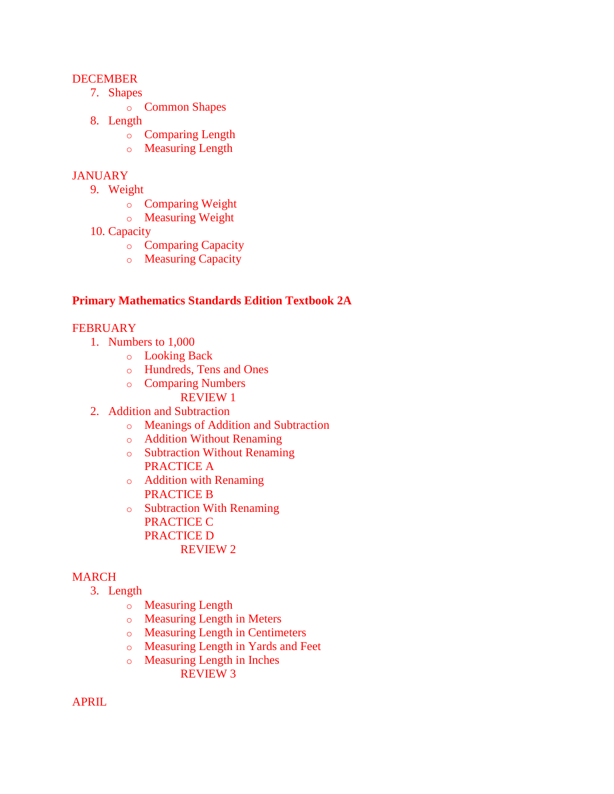## **DECEMBER**

- 7. Shapes
	- o Common Shapes
- 8. Length
	- o Comparing Length
	- o Measuring Length

## **JANUARY**

- 9. Weight
	- o Comparing Weight
	- o Measuring Weight
- 10. Capacity
	- o Comparing Capacity
	- o Measuring Capacity

#### **Primary Mathematics Standards Edition Textbook 2A**

#### **FEBRUARY**

- 1. Numbers to 1,000
	- o Looking Back
	- o Hundreds, Tens and Ones
	- o Comparing Numbers REVIEW 1
- 2. Addition and Subtraction
	- o Meanings of Addition and Subtraction
	- o Addition Without Renaming
	- o Subtraction Without Renaming PRACTICE A
	- o Addition with Renaming PRACTICE B
	- o Subtraction With Renaming PRACTICE C PRACTICE D REVIEW 2

#### MARCH

- 3. Length
	- o Measuring Length
	- o Measuring Length in Meters
	- o Measuring Length in Centimeters
	- o Measuring Length in Yards and Feet
	- o Measuring Length in Inches REVIEW 3

APRIL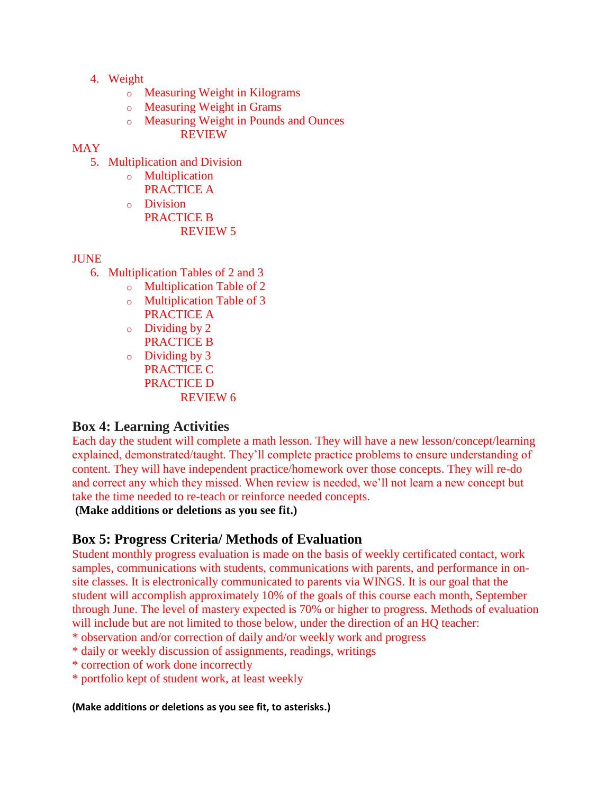- 4. Weight
	- o Measuring Weight in Kilograms
	- o Measuring Weight in Grams
	- o Measuring Weight in Pounds and Ounces
		- REVIEW

## MAY

- 5. Multiplication and Division
	- o Multiplication
		- PRACTICE A
	- o Division PRACTICE B REVIEW 5

## JUNE

- 6. Multiplication Tables of 2 and 3
	- o Multiplication Table of 2
	- o Multiplication Table of 3 PRACTICE A
	- o Dividing by 2 PRACTICE B
	- $\circ$  Dividing by 3 PRACTICE C PRACTICE D REVIEW 6

# **Box 4: Learning Activities**

Each day the student will complete a math lesson. They will have a new lesson/concept/learning explained, demonstrated/taught. They'll complete practice problems to ensure understanding of content. They will have independent practice/homework over those concepts. They will re-do and correct any which they missed. When review is needed, we'll not learn a new concept but take the time needed to re-teach or reinforce needed concepts.

**(Make additions or deletions as you see fit.)**

# **Box 5: Progress Criteria/ Methods of Evaluation**

Student monthly progress evaluation is made on the basis of weekly certificated contact, work samples, communications with students, communications with parents, and performance in onsite classes. It is electronically communicated to parents via WINGS. It is our goal that the student will accomplish approximately 10% of the goals of this course each month, September through June. The level of mastery expected is 70% or higher to progress. Methods of evaluation will include but are not limited to those below, under the direction of an HQ teacher:

- \* observation and/or correction of daily and/or weekly work and progress
- \* daily or weekly discussion of assignments, readings, writings
- \* correction of work done incorrectly
- \* portfolio kept of student work, at least weekly

#### **(Make additions or deletions as you see fit, to asterisks.)**